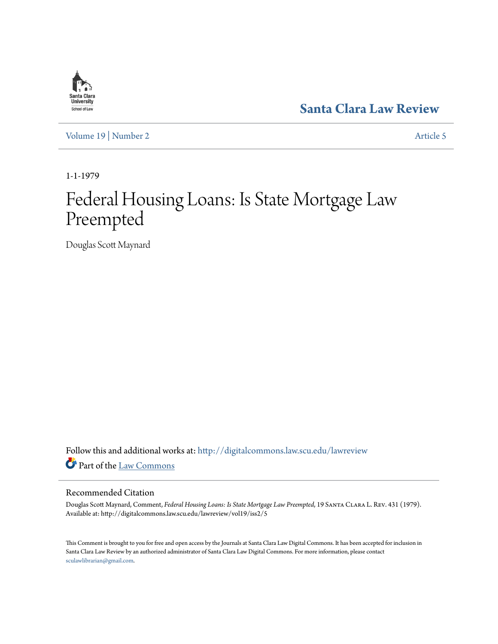# **[Santa Clara Law Review](http://digitalcommons.law.scu.edu/lawreview?utm_source=digitalcommons.law.scu.edu%2Flawreview%2Fvol19%2Fiss2%2F5&utm_medium=PDF&utm_campaign=PDFCoverPages)**

[Volume 19](http://digitalcommons.law.scu.edu/lawreview/vol19?utm_source=digitalcommons.law.scu.edu%2Flawreview%2Fvol19%2Fiss2%2F5&utm_medium=PDF&utm_campaign=PDFCoverPages) | [Number 2](http://digitalcommons.law.scu.edu/lawreview/vol19/iss2?utm_source=digitalcommons.law.scu.edu%2Flawreview%2Fvol19%2Fiss2%2F5&utm_medium=PDF&utm_campaign=PDFCoverPages) [Article 5](http://digitalcommons.law.scu.edu/lawreview/vol19/iss2/5?utm_source=digitalcommons.law.scu.edu%2Flawreview%2Fvol19%2Fiss2%2F5&utm_medium=PDF&utm_campaign=PDFCoverPages)

1-1-1979

# Federal Housing Loans: Is State Mortgage Law Preempted

Douglas Scott Maynard

Follow this and additional works at: [http://digitalcommons.law.scu.edu/lawreview](http://digitalcommons.law.scu.edu/lawreview?utm_source=digitalcommons.law.scu.edu%2Flawreview%2Fvol19%2Fiss2%2F5&utm_medium=PDF&utm_campaign=PDFCoverPages) Part of the [Law Commons](http://network.bepress.com/hgg/discipline/578?utm_source=digitalcommons.law.scu.edu%2Flawreview%2Fvol19%2Fiss2%2F5&utm_medium=PDF&utm_campaign=PDFCoverPages)

#### Recommended Citation

Douglas Scott Maynard, Comment, *Federal Housing Loans: Is State Mortgage Law Preempted*, 19 Santa Clara L. Rev. 431 (1979). Available at: http://digitalcommons.law.scu.edu/lawreview/vol19/iss2/5

This Comment is brought to you for free and open access by the Journals at Santa Clara Law Digital Commons. It has been accepted for inclusion in Santa Clara Law Review by an authorized administrator of Santa Clara Law Digital Commons. For more information, please contact [sculawlibrarian@gmail.com](mailto:sculawlibrarian@gmail.com).

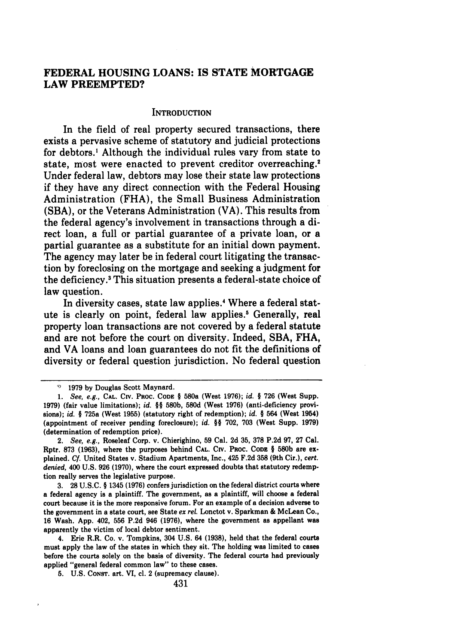# **FEDERAL HOUSING LOANS: IS STATE MORTGAGE LAW PREEMPTED?**

#### **INTRODUCTION**

In the field of real property secured transactions, there exists a pervasive scheme of statutory and judicial protections for debtors.' Although the individual rules vary from state to state, most were enacted to prevent creditor overreaching.<sup>2</sup> Under federal law, debtors may lose their state law protections if they have any direct connection with the Federal Housing Administration **(FHA),** the Small Business Administration **(SBA),** or the Veterans Administration (VA). This results from the federal agency's involvement in transactions through a direct loan, a full or partial guarantee of a private loan, or a partial guarantee as a substitute for an initial down payment. The agency may later be in federal court litigating the transaction **by** foreclosing on the mortgage and seeking a judgment for the deficiency.3 This situation presents a federal-state choice of law question.

In diversity cases, state law applies.<sup>4</sup> Where a federal statute is clearly on point, federal law applies." Generally, real property loan transactions are not covered **by** a federal statute and are not before the court on diversity. Indeed, **SBA, FHA,** and VA loans and loan guarantees do not fit the definitions of diversity or federal question jurisdiction. No federal question

**3. 28** U.S.C. **§** 1345 **(1976)** confers jurisdiction on the federal district courts where a federal agency is a plaintiff. The government, as a plaintiff, will choose a federal court because it is the more responsive forum. For an example of a decision adverse to the government in a state court, see State *ex rel.* Lonctot v. Sparkman & McLean Co., **16** Wash. App. 402, **556** P.2d 946 **(1976),** where the government as appellant was apparently the victim of local debtor sentiment.

4. Erie R.R. Co. v. Tompkins, 304 U.S. 64 **(1938),** held that the federal courts must apply the law of the states in which they sit. The holding was limited to cases before the courts solely on the basis of diversity. The federal courts had previously applied "general federal common law" to these cases.

**5.** U.S. CONST. art. VI, cl. 2 (supremacy clause).

<sup>&</sup>lt;sup>9</sup> 1979 by Douglas Scott Maynard.

**<sup>1.</sup>** *See, e.g.,* **CAL. CIV.** PROC. **CODE** § 580a (West **1976);** *id.* § **726** (West Supp. **1979)** (fair value limitations); *id.* **§§ 580b, 580d** (West **1976)** (anti-deficiency provisions); *id. §* 725a (West **1955)** (statutory right of redemption); *id. §* 564 (West 1954) (appointment of receiver pending foreclosure); *id.* **§§ 702, 703** (West Supp. **1979)** (determination of redemption price).

<sup>2.</sup> *See, e.g.,* Roseleaf Corp. v. Chierighino, **59** Cal. **2d 35, 378 P.2d 97, 27** Cal. Rptr. **873 (1963),** where the purposes behind **CAL.** CiV. PROC. **CODE § 580b** are explained. **Cf.** United States v. Stadium Apartments, Inc., 425 F.2d **358** (9th Cir.), *cert. denied,* 400 U.S. **926 (1970),** where the court expressed doubts that statutory redemption really serves the legislative purpose.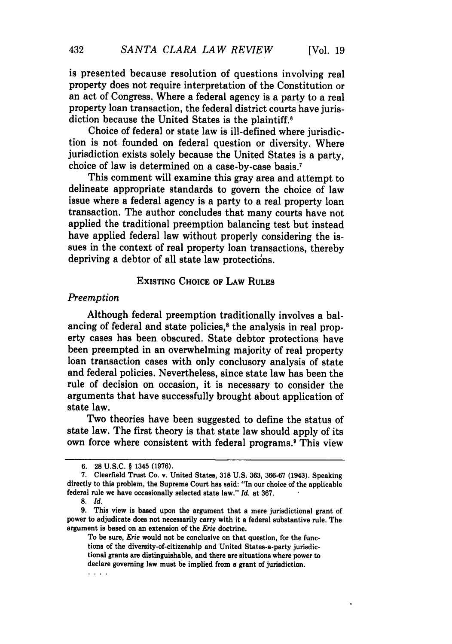is presented because resolution of questions involving real property does not require interpretation of the Constitution or an act of Congress. Where a federal agency is a party to a real property loan transaction, the federal district courts have jurisdiction because the United States is the plaintiff.

Choice of federal or state law is ill-defined where jurisdiction is not founded on federal question or diversity. Where jurisdiction exists solely because the United States is a party, choice of law is determined on a case-by-case basis.7

This comment will examine this gray area and attempt to delineate appropriate standards to govern the choice of law issue where a federal agency is a party to a real property loan transaction. The author concludes that many courts have not applied the traditional preemption balancing test but instead have applied federal law without properly considering the issues in the context of real property loan transactions, thereby depriving a debtor of all state law protections.

## **EXISTING CHOICE** OF LAW RULES

#### *Preemption*

Although federal preemption traditionally involves a balancing of federal and state policies,<sup>8</sup> the analysis in real property cases has been obscured. State debtor protections have been preempted in an overwhelming majority of real property loan transaction cases with only conclusory analysis of state and federal policies. Nevertheless, since state law has been the rule of decision on occasion, it is necessary to consider the arguments that have successfully brought about application of state law.

Two theories have been suggested to define the status of state law. The first theory is that state law should apply of its own force where consistent with federal programs.' This view

*8. Id.*

To be sure, *Erie* would not be conclusive on that question, for the functions of the diversity-of-citizenship and United States-a-party jurisdictional grants are distinguishable, and there are situations where power to declare governing law must be implied from a grant of jurisdiction.  $\cdots$ 

**<sup>6. 28</sup>** U.S.C. § 1345 **(1976).**

<sup>7.</sup> Clearfield Trust Co. v. United States, **318** U.S. 363, 366-67 (1943). Speaking directly to this problem, the Supreme Court has said: "In our choice of the applicable federal rule we have occasionally selected state law." *Id.* at 367.

**<sup>9.</sup>** This view is based upon the argument that a mere jurisdictional grant of power to adjudicate does not necessarily carry with it a federal substantive rule. The argument is based on an extension of the *Erie* doctrine.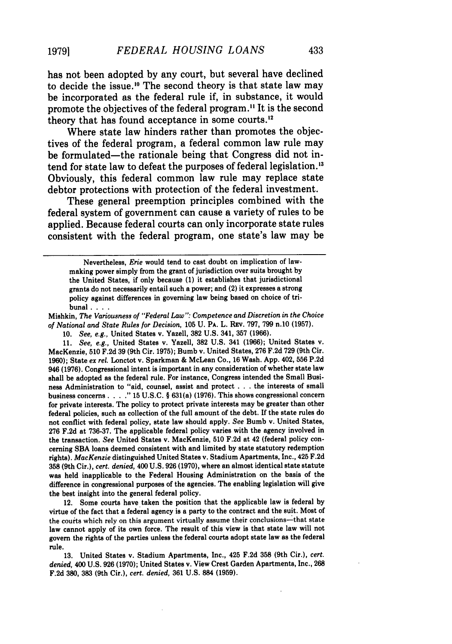has not been adopted **by** any court, but several have declined to decide the issue.<sup>10</sup> The second theory is that state law may be incorporated as the federal rule if, in substance, it would promote the objectives of the federal program." It is the second theory that has found acceptance in some courts. $<sup>12</sup>$ </sup>

Where state law hinders rather than promotes the objectives of the federal program, a federal common law rule may be formulated-the rationale being that Congress did not intend for state law to defeat the purposes of federal legislation.<sup>13</sup> Obviously, this federal common law rule may replace state debtor protections with protection of the federal investment.

These general preemption principles combined with the federal system of government can cause a variety of rules to be applied. Because federal courts can only incorporate state rules consistent with the federal program, one state's law may be

Mishkin, *The Variousness of "Federal Law": Competence and Discretion in the Choice of National and State Rules for Decision,* **105 U. PA.** L. **Rv. 797, 799** n.10 **(1957).**

**10.** *See, e.g.,* United States v. Yazell, **382 U.S.** 341, **357 (1966).**

**11.** *See, e.g.,* United States v. Yazell, **382 U.S.** 341 **(1966);** United States v. MacKenzie, **510 F.2d 39** (9th Cir. **1975);** Bumb v. United States, **276 F.2d 729** (9th Cir. **1960);** State *ex rel.* Lonctot v. Sparkman **&** McLean Co., **16** Wash. **App.** 402, **556 P.2d** 946 **(1976).** Congressional intent is important in any consideration of whether state law shall be adopted as the federal rule. For instance, Congress intended the Small Business Administration to "aid, counsel, assist and protect **. ..**the interests of small business concerns . **. . . 15 U.S.C.** § 631(a) **(1976).** This shows congressional concern for private interests. The policy to protect private interests may be greater than other federal policies, such as collection of the full amount of the debt. If the state rules do not conflict with federal policy, state law should apply. *See* Bumb v. United States, **276 F.2d** at **736-37.** The applicable federal policy varies with the agency involved in the transaction. *See* United States v. MacKenzie, **510 F.2d** at 42 (federal policy concerning **SBA** loans deemed consistent with and limited **by** state statutory redemption rights). *MacKenzie* distinguished United States v. Stadium Apartments, Inc., 425 **F.2d 358** (9th Cir.), *cert. denied,* 400 **U.S. 926 (1970),** where an almost identical state statute was held inapplicable to the Federal Housing Administration on the basis of the difference in congressional purposes of the agencies. The enabling legislation will give the best insight into the general federal policy.

12. Some courts have taken the position that the applicable law is federal **by** virtue of the fact that a federal agency is a party to the contract and the suit. Most of the courts which rely on this argument virtually assume their conclusions-that state law cannot apply of its own force. The result of this view is that state law will not govern the rights of the parties unless the federal courts adopt state law as the federal rule.

**13.** United States v. Stadium Apartments, Inc., 425 **F.2d 358** (9th Cir.), *cert. denied,* 400 **U.S. 926 (1970);** United States v. View Crest Garden Apartments, Inc., **268 F.2d 380, 383** (9th Cir.), *cert. denied,* **361 U.S. 884 (1959).**

Nevertheless, *Erie* would tend to cast doubt on implication of lawmaking power simply from the grant of jurisdiction over suits brought by the United States, if only because (1) it establishes that jurisdictional grants do not necessarily entail such a power; and (2) it expresses a strong policy against differences in governing law being based on choice of tribunal **....**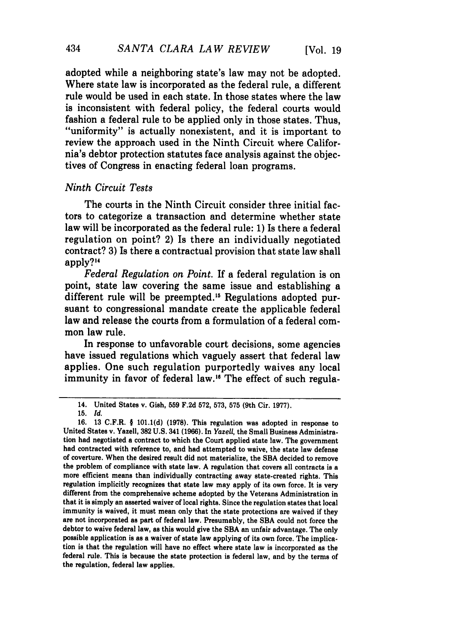adopted while a neighboring state's law may not be adopted. Where state law is incorporated as the federal rule, a different rule would be used in each state. In those states where the law is inconsistent with federal policy, the federal courts would fashion a federal rule to be applied only in those states. Thus, "uniformity" is actually nonexistent, and it is important to review the approach used in the Ninth Circuit where California's debtor protection statutes face analysis against the objectives of Congress in enacting federal loan programs.

#### *Ninth Circuit Tests*

The courts in the Ninth Circuit consider three initial factors to categorize a transaction and determine whether state law will be incorporated as the federal rule: **1)** Is there a federal regulation on point? 2) Is there an individually negotiated contract? **3)** Is there a contractual provision that state law shall apply?"

*Federal Regulation on Point.* If a federal regulation is on point, state law covering the same issue and establishing a different rule will be preempted.<sup>15</sup> Regulations adopted pursuant to congressional mandate create the applicable federal law and release the courts from a formulation of a federal common law rule.

In response to unfavorable court decisions, some agencies have issued regulations which vaguely assert that federal law applies. One such regulation purportedly waives any local immunity in favor of federal law.<sup>16</sup> The effect of such regula-

<sup>14.</sup> United States v. Gish, **559 F.2d 572, 573, 575** (9th Cir. **1977).**

**<sup>15.</sup>** *Id.*

**<sup>16. 13</sup>** C.F.R. **§ 101.1(d) (1978).** This regulation was adopted in response to United States v. Yazell, **382 U.S.** 341 **(1966).** In *Yazel,* the Small Business Administration had negotiated a contract to which the Court applied state law. The government had contracted with reference to, and had attempted to waive, the state law defense of coverture. When the desired result did not materialize, the **SBA** decided to remove the problem of compliance with state law. **A** regulation that covers all contracts is a more efficient means than individually contracting away state-created rights. This regulation implicitly recognizes that state law may apply of its own force. It **is** very different from the comprehensive scheme adopted **by** the Veterans Administration in that it is simply an asserted waiver of local rights. Since the regulation states that local immunity is waived, it must mean only that the state protections are waived if they are not incorporated as part of federal law. Presumably, the **SBA** could not force the debtor to waive federal law, as this would give the **SBA** an unfair advantage. The only possible application is as a waiver of state law applying of its own force. The implication is that the regulation will have no effect where state law is incorporated as the federal rule. This is because the state protection is federal law, and **by** the terms of the regulation, federal law applies.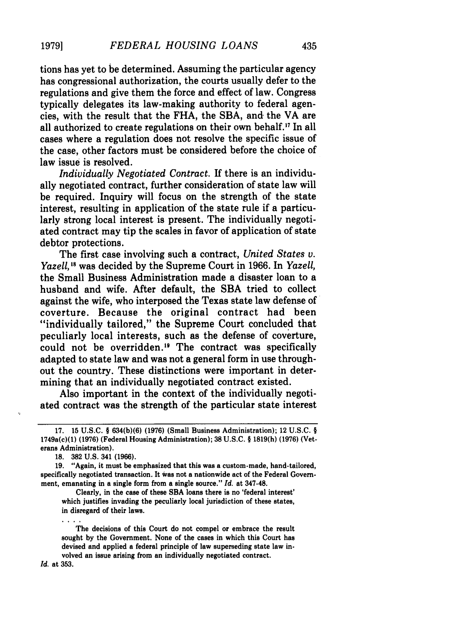# tions has yet to be determined. Assuming the particular agency has congressional authorization, the courts usually defer to the regulations and give them the force and effect of law. Congress typically delegates its law-making authority to federal agencies, with the result that the FHA, the SBA, and the VA are all authorized to create regulations on their own behalf.<sup>17</sup> In all cases where a regulation does not resolve the specific issue of the case, other factors must be considered before the choice of law issue is resolved.

*Individually Negotiated Contract.* If there is an individually negotiated contract, further consideration of state law will be required. Inquiry will focus on the strength of the state interest, resulting in application of the state rule if a particularly strong local interest is present. The individually negotiated contract may tip the scales in favor of application of state debtor protections.

The first case involving such a contract, *United States v. Yazell,* **1** was decided by the Supreme Court in 1966. In *Yazell,* the Small Business Administration made a disaster loan to a husband and wife. After default, the **SBA** tried to collect against the wife, who interposed the Texas state law defense of coverture. Because the original contract had been "individually tailored," the Supreme Court concluded that peculiarly local interests, such as the defense of coverture, could not be overridden." The contract was specifically adapted to state law and was not a general form in use throughout the country. These distinctions were important in determining that an individually negotiated contract existed.

Also important in the context of the individually negotiated contract was the strength of the particular state interest

Clearly, in the case of these **SBA** loans there is no 'federal interest' which justifies invading the peculiarly local jurisdiction of these states, in disregard of their laws.

The decisions of this Court do not compel or embrace the result sought by the Government. None of the cases in which this Court has devised and applied a federal principle of law superseding state law involved an issue arising from an individually negotiated contract.

*Id.* at **353.**

 $\cdots$ 

<sup>17.</sup> **15** U.S.C. § **634(b)(6) (1976)** (Small Business Administration); 12 U.S.C. § 1749a(c)(1) **(1976)** (Federal Housing Administration); **38** U.S.C. § **1819(h) (1976)** (Veterans Administration).

**<sup>18. 382</sup>** U.S. 341 **(1966).**

**<sup>19.</sup>** "Again, it must be emphasized that this was a custom-made, hand-tailored, specifically negotiated transaction. It Was not a nationwide act of the Federal Government, emanating in a single form from a single source." *Id.* at 347-48.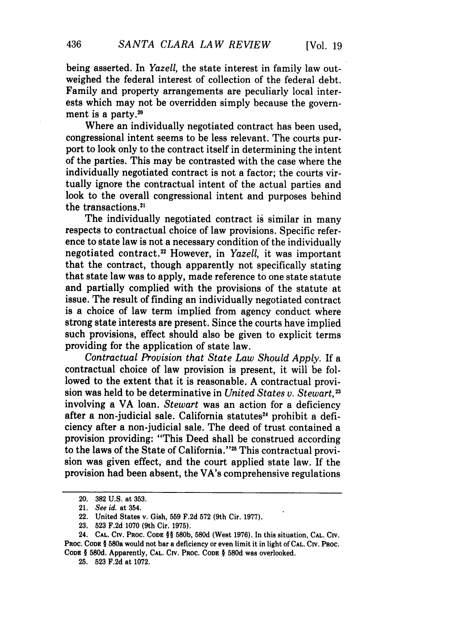being asserted. In *Yazell,* the state interest in family law outweighed the federal interest of collection of the federal debt. Family and property arrangements are peculiarly local interests which may not be overridden simply because the government is a party. $20$ 

Where an individually negotiated contract has been used, congressional intent seems to be less relevant. The courts purport to look only to the contract itself in determining the intent of the parties. This may be contrasted with the case where the individually negotiated contract is not a factor; the courts virtually ignore the contractual intent of the actual parties and look to the overall congressional intent and purposes behind the transactions.2'

The individually negotiated contract is similar in many respects to contractual choice of law provisions. Specific reference to state law is not a necessary condition of the individually negotiated contract.22 However, in *Yazell,* it was important that the contract, though apparently not specifically stating that state law was to apply, made reference to one state statute and partially complied with the provisions of the statute at issue. The result of finding an individually negotiated contract is a choice of law term implied from agency conduct where strong state interests are present. Since the courts have implied such provisions, effect should also be given to explicit terms providing for the application of state law.

*Contractual Provision that State Law Should Apply.* If a contractual choice of law provision is present, it will be followed to the extent that it is reasonable. A contractual provision was held to be determinative in *United States v. Stewart, <sup>2</sup> <sup>3</sup>* involving a VA loan. *Stewart* was an action for a deficiency after a non-judicial sale. California statutes<sup>24</sup> prohibit a deficiency after a non-judicial sale. The deed of trust contained a provision providing: "This Deed shall be construed according to the laws of the State of California."<sup>25</sup> This contractual provision was given effect, and the court applied state law. If the provision had been absent, the VA's comprehensive regulations

<sup>20. 382</sup> **U.S.** at **353.**

<sup>21.</sup> *See id.* at 354.

<sup>22.</sup> United States v. Gish, 559 F.2d 572 (9th Cir. 1977).

<sup>23. 523</sup> F.2d 1070 (9th Cir. 1975).

<sup>24.</sup> **CAL.** CiV. **PROC. CODE** §§ 580b, 580d (West 1976). In this situation, **CAL.** Civ. PROC. **CODE** § 580a would not bar a deficiency or even limit it in light of **CAL.** CIv. Poc. **CODE** § 580d. Apparently, **CAL.** CiV. PROC. **CODE §** 580d was overlooked.

<sup>25. 523</sup> F.2d at 1072.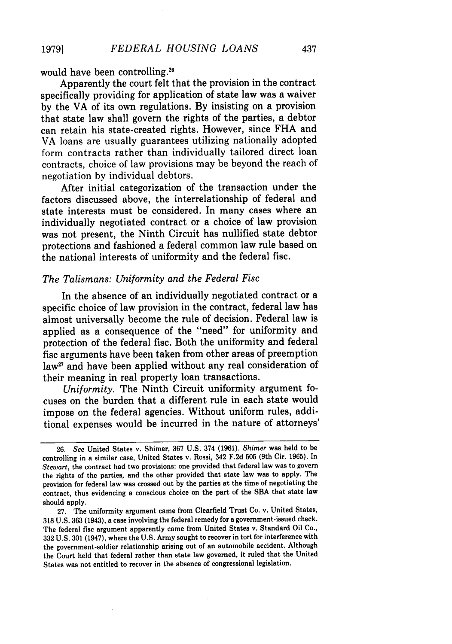would have been controlling.<sup>26</sup>

Apparently the court felt that the provision in the contract specifically providing for application of state law was a waiver by the VA of its own regulations. By insisting on a provision that state law shall govern the rights of the parties, a debtor can retain his state-created rights. However, since FHA and VA loans are usually guarantees utilizing nationally adopted form contracts rather than individually tailored direct loan contracts, choice of law provisions may be beyond the reach of negotiation by individual debtors.

After initial categorization of the transaction under the factors discussed above, the interrelationship of federal and state interests must be considered. In many cases where an individually negotiated contract or a choice of law provision was not present, the Ninth Circuit has nullified state debtor protections and fashioned a federal common law rule based on the national interests of uniformity and the federal fisc.

#### *The Talismans: Uniformity and the Federal Fisc*

In the absence of an individually negotiated contract or a specific choice of law provision in the contract, federal law has almost universally become the rule of decision. Federal law is applied as a consequence of the "need" for uniformity and protection of the federal fisc. Both the uniformity and federal fisc arguments have been taken from other areas of preemption law<sup>27</sup> and have been applied without any real consideration of their meaning in real property loan transactions.

*Uniformity.* The Ninth Circuit uniformity argument focuses on the burden that a different rule in each state would impose on the federal agencies. Without uniform rules, additional expenses would be incurred in the nature of attorneys'

<sup>26.</sup> *See* United States v. Shimer, 367 U.S. 374 (1961). *Shimer* was held to be controlling in a similar case, United States v. Rossi, 342 F.2d 505 (9th Cir. 1965). In *Stewart,* the contract had two provisions: one provided that federal law was to govern the rights of the parties, and the other provided that state law was to apply. The provision for federal law was crossed out by the parties at the time of negotiating the contract, thus evidencing a conscious choice on the part of the SBA that state law should apply.

<sup>27.</sup> The uniformity argument came from Clearfield Trust Co. v. United States, 318 U.S. 363 (1943), a case involving the federal remedy for a government-issued check. The federal fisc argument apparently came from United States v. Standard Oil Co., 332 U.S. 301 (1947), where the U.S. Army sought to recover in tort for interference with the government-soldier relationship arising out of an automobile accident. Although the Court held that federal rather than state law governed, it ruled that the United States was not entitled to recover in the absence of congressional legislation.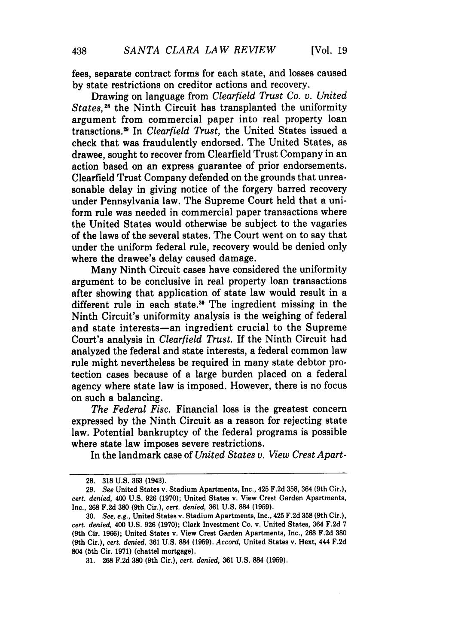fees, separate contract forms for each state, and losses caused by state restrictions on creditor actions and recovery.

Drawing on language from *Clearfield Trust Co. v. United States,"5* the Ninth Circuit has transplanted the uniformity argument from commercial paper into real property loan transctions.9 In *Clearfield Trust,* the United States issued a check that was fraudulently endorsed. The United States, as drawee, sought to recover from Clearfield Trust Company in an action based on an express guarantee of prior endorsements. Clearfield Trust Company defended on the grounds that unreasonable delay in giving notice of the forgery barred recovery under Pennsylvania law. The Supreme Court held that a uniform rule was needed in commercial paper transactions where the United States would otherwise be subject to the vagaries of the laws of the several states. The Court went on to say that under the uniform federal rule, recovery would be denied only where the drawee's delay caused damage.

Many Ninth Circuit cases have considered the uniformity argument to be conclusive in real property loan transactions after showing that application of state law would result in a different rule in each state.30 The ingredient missing in the Ninth Circuit's uniformity analysis is the weighing of federal and state interests—an ingredient crucial to the Supreme Court's analysis in *Clearfield Trust.* If the Ninth Circuit had analyzed the federal and state interests, a federal common law rule might nevertheless be required in many state debtor protection cases because of a large burden placed on a federal agency where state law is imposed. However, there is no focus on such a balancing.

*The Federal Fisc.* Financial loss is the greatest concern expressed by the Ninth Circuit as a reason for rejecting state law. Potential bankruptcy of the federal programs is possible where state law imposes severe restrictions.

In the landmark case of *United States v. View Crest Apart-*

**<sup>28. 318</sup>** U.S. 363 (1943).

<sup>29.</sup> *See* United States v. Stadium Apartments, Inc., 425 F.2d 358, 364 (9th Cir.), *cert. denied,* 400 U.S. 926 (1970); United States v. View Crest Garden Apartments, Inc., 268 F.2d 380 (9th Cir.), *cert. denied,* 361 U.S. 884 (1959).

<sup>30.</sup> *See, e.g.,* United States v. Stadium Apartments, Inc., 425 F.2d **358** (9th Cir.), *cert. denied,* 400 U.S. 926 (1970); Clark Investment Co. v. United States, 364 F.2d 7 (9th Cir. 1966); United States v. View Crest Garden Apartments, Inc., 268 F.2d 380 (9th Cir.), *cert. denied,* 361 U.S. 884 (1959). *Accord,* United States v. Hext, 444 F.2d 804 (5th Cir. 1971) (chattel mortgage).

<sup>31. 268</sup> F.2d 380 (9th Cir.), *cert. denied,* 361 U.S. 884 (1959).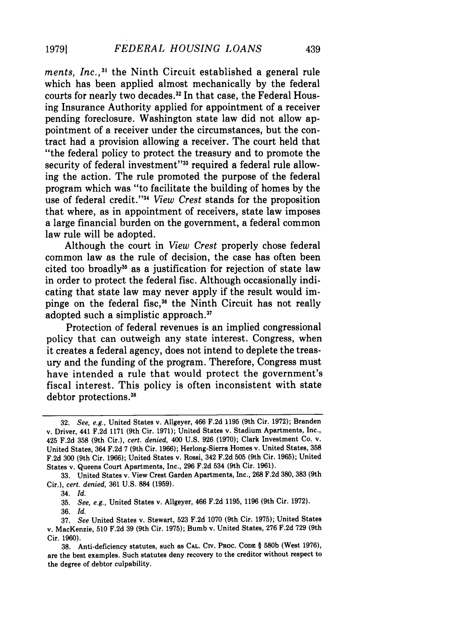ments, Inc.,<sup>31</sup> the Ninth Circuit established a general rule which has been applied almost mechanically by the federal courts for nearly two decades.<sup>32</sup> In that case, the Federal Housing Insurance Authority applied for appointment of a receiver pending foreclosure. Washington state law did not allow appointment of a receiver under the circumstances, but the contract had a provision allowing a receiver. The court held that "the federal policy to protect the treasury and to promote the security of federal investment"<sup>33</sup> required a federal rule allowing the action. The rule promoted the purpose of the federal program which was "to facilitate the building of homes by the use of federal credit."<sup>34</sup> View Crest stands for the proposition that where, as in appointment of receivers, state law imposes a large financial burden on the government, a federal common law rule will be adopted.

Although the court in *View Crest* properly chose federal common law as the rule of decision, the case has often been cited too broadly<sup>35</sup> as a justification for rejection of state law in order to protect the federal fisc. Although occasionally indicating that state law may never apply if the result would impinge on the federal fisc,36 the Ninth Circuit has not really adopted such a simplistic approach."

Protection of federal revenues is an implied congressional policy that can outweigh any state interest. Congress, when it creates a federal agency, does not intend to deplete the treasury and the funding of the program. Therefore, Congress must have intended a rule that would protect the government's fiscal interest. This policy is often inconsistent with state debtor protections.<sup>38</sup>

38. Anti-deficiency statutes, such as **CAL. CIV.** PROC. **CODE** § 580b (West 1976), are the best examples. Such statutes deny recovery to the creditor without respect to the degree of debtor culpability.

<sup>32.</sup> *See, e.g.,* United States v. Allgeyer, 466 F.2d 1195 (9th Cir. 1972); Branden v. Driver, 441 F.2d 1171 (9th Cir. 1971); United States v. Stadium Apartments, Inc., 425 F.2d 358 (9th Cir.), *cert. denied,* 400 U.S. 926 (1970); Clark Investment Co. v. United States, 364 **F.2d** 7 (9th Cir. **1966);** Herlong-Sierra Homes v. United States, **358** F.2d 300 (9th Cir. 1966); United States v. Rossi, 342 F.2d 505 (9th Cir. 1965); United States v. Queens Court Apartments, Inc., 296 F.2d 534 (9th Cir. 1961).

<sup>33.</sup> United States v. View Crest Garden Apartments, Inc., 268 F.2d 380, 383 (9th Cir.), *cert. denied,* 361 U.S. **884** (1959).

<sup>34.</sup> *Id.*

<sup>35.</sup> *See, e.g.,* United States v. Allgeyer, 466 F.2d 1195, 1196 (9th Cir. 1972).

<sup>36.</sup> *Id.*

<sup>37.</sup> *See* United States v. Stewart, **523** F.2d 1070 (9th Cir. 1975); United States v. MacKenzie, 510 F.2d 39 (9th Cir. 1975); Bumb v. United States, 276 F.2d **729** (9th Cir. 1960).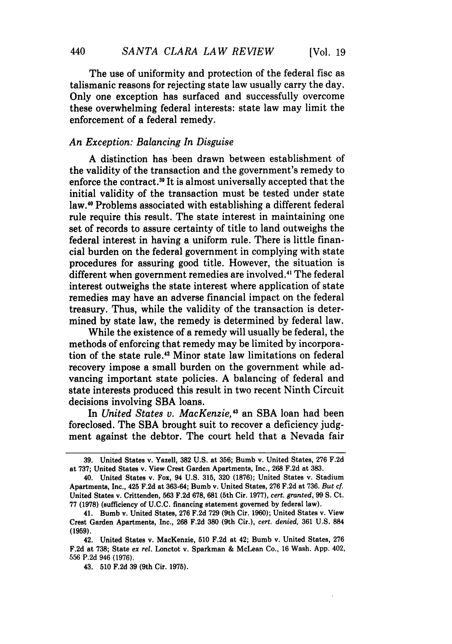The use of uniformity and protection of the federal fisc as talismanic reasons for rejecting state law usually carry the day. Only one exception has surfaced and successfully overcome these overwhelming federal interests: state law may limit the enforcement of a federal remedy.

### *An Exception: Balancing In Disguise*

A distinction has been drawn between establishment of the validity of the transaction and the government's remedy to enforce the contract.<sup>39</sup> It is almost universally accepted that the initial validity of the transaction must be tested under state law." Problems associated with establishing a different federal rule require this result. The state interest in maintaining one set of records to assure certainty of title to land outweighs the federal interest in having a uniform rule. There is little financial burden on the federal government in complying with state procedures for assuring good title. However, the situation is different when government remedies are involved.<sup>41</sup> The federal interest outweighs the state interest where application of state remedies may have an adverse financial impact on the federal treasury. Thus, while the validity of the transaction is determined by state law, the remedy is determined by federal law.

While the existence of a remedy will usually be federal, the methods of enforcing that remedy may be limited by incorporation of the state rule.<sup>42</sup> Minor state law limitations on federal recovery impose a small burden on the government while advancing important state policies. A balancing of federal and state interests produced this result in two recent Ninth Circuit decisions involving SBA loans.

In *United States v. MacKenzie,'3* an SBA loan had been foreclosed. The SBA brought suit to recover a deficiency judgment against the debtor. The court held that a Nevada fair

**<sup>39.</sup>** United States v. Yazell, **382 U.S.** at 356; Bumb v. United States, **276** F.2d at **737;** United States v. View Crest Garden Apartments, Inc., **268 F.2d** at **383.**

<sup>40.</sup> United States v. Fox, 94 **U.S. 315, 320 (1876);** United States v. Stadium Apartments, Inc., 425 **F.2d** at **363-64;** Bumb v. United States, **276 F.2d** at **736.** But cf United States v. Crittenden, **563 F.2d 678, 681** (5th Cir. **1977),** cert. granted, **99 S.** Ct. **77 (1978)** (sufficiency of **U.C.C.** financing statement governed **by** federal law).

<sup>41.</sup> Bumb v. United States, **276 F.2d 729** (9th Cir. **1960);** United States v. View Crest Garden Apartments, Inc., **268 F.2d 380** (9th Cir.), *cert. denied,* **361 U.S. 884 (1959).**

<sup>42.</sup> United States v. MacKenzie, **510** F.2d at 42; Bumb v. United States, **276 F.2d** at **738;** State *ex ret.* Lonctot v. Sparkman **&** McLean Co., **16** Wash. **App.** 402, 556 **P.2d** 946 **(1976).**

<sup>43.</sup> **510 F.2d 39** (9th Cir. **1975).**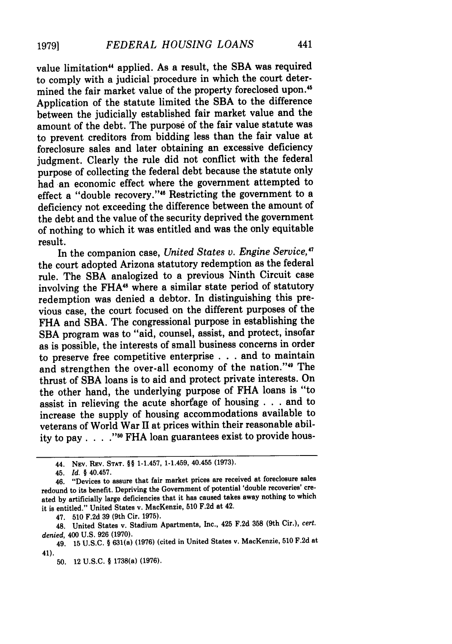**19791**

value limitation" applied. As a result, the **SBA** was required to comply with a judicial procedure in which the court determined the fair market value of the property foreclosed upon.<sup>45</sup> Application of the statute limited the **SBA** to the difference between the judicially established fair market value and the amount of the debt. The purpose of the fair value statute was to prevent creditors from bidding less than the fair value at foreclosure sales and later obtaining an excessive deficiency judgment. Clearly the rule did not conflict with the federal purpose of collecting the federal debt because the statute only had an economic effect where the government attempted to effect a "double recovery."<sup>46</sup> Restricting the government to a deficiency not exceeding the difference between the amount of the debt and the value of the security deprived the government of nothing to which it was entitled and was the only equitable result.

In the companion case, *United States v. Engine Service,"* the court adopted Arizona statutory redemption as the federal rule. The SBA analogized to a previous Ninth Circuit case involving the FHA<sup>48</sup> where a similar state period of statutory redemption was denied a debtor. In distinguishing this previous case, the court focused on the different purposes of the FHA and SBA. The congressional purpose in establishing the SBA program was to "aid, counsel, assist, and protect, insofar as is possible, the interests of small business concerns in order to preserve free competitive enterprise . . . and to maintain and strengthen the over-all economy of the nation."<sup>49</sup> The thrust of **SBA** loans is to aid and protect private interests. On the other hand, the underlying purpose of FHA loans is "to assist in relieving the acute shorfage of housing . . . and to increase the supply of housing accommodations available to veterans of World War II at prices within their reasonable ability to pay . . . .<sup>"50</sup> FHA loan guarantees exist to provide hous-

47. **510 F.2d 39** (9th Cir. **1975).**

<sup>44.</sup> NEv. REv. **STAT.** §§ 1-1.457, 1-1.459, 40.455 **(1973).**

<sup>45.</sup> *Id. §* 40.457.

<sup>46. &</sup>quot;Devices to assure that fair market prices are received at foreclosure sales redound to its benefit. Depriving the Government of potential 'double recoveries' created **by** artificially large deficiencies that it has caused takes away nothing to which it is entitled." United States v. MacKenzie, **510 F.2d** at 42.

<sup>48.</sup> United States v. Stadium Apartments, Inc., 425 **F.2d 358** (9th Cir.), *cert. denied,* 400 **U.S. 926 (1970).**

<sup>49.</sup> **15 U.S.C.** § 631(a) **(1976)** (cited in United States v. MacKenzie, **510 F.2d** at 41).

**<sup>50.</sup>** 12 **U.S.C.** § 1738(a) **(1976).**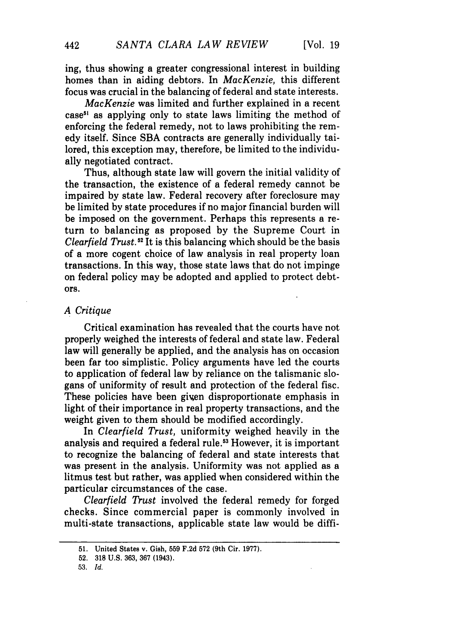ing, thus showing a greater congressional interest in building homes than in aiding debtors. In *MacKenzie,* this different focus was crucial in the balancing of federal and state interests.

*MacKenzie* was limited and further explained in a recent  $case<sup>51</sup>$  as applying only to state laws limiting the method of enforcing the federal remedy, not to laws prohibiting the remedy itself. Since SBA contracts are generally individually tailored, this exception may, therefore, be limited to the individually negotiated contract.

Thus, although state law will govern the initial validity of the transaction, the existence of a federal remedy cannot be impaired by state law. Federal recovery after foreclosure may be limited by state procedures if no major financial burden will be imposed on the government. Perhaps this represents a return to balancing as proposed by the Supreme Court in *Clearfield Trust. 52* It is this balancing which should be the basis of a more cogent choice of law analysis in real property loan transactions. In this way, those state laws that do not impinge on federal policy may be adopted and applied to protect debtors.

#### *A Critique*

Critical examination has revealed that the courts have not properly weighed the interests of federal and state law. Federal law will generally be applied, and the analysis has on occasion been far too simplistic. Policy arguments have led the courts to application of federal law by reliance on the talismanic slogans of uniformity of result and protection of the federal fisc. These policies have been given disproportionate emphasis in light of their importance in real property transactions, and the weight given to them should be modified accordingly.

In *Clearfield Trust,* uniformity weighed heavily in the analysis and required a federal rule.<sup>53</sup> However, it is important to recognize the balancing of federal and state interests that was present in the analysis. Uniformity was not applied as a litmus test but rather, was applied when considered within the particular circumstances of the case.

Clearfield Trust involved the federal remedy for forged checks. Since commercial paper is commonly involved in multi-state transactions, applicable state law would be diffi-

<sup>51.</sup> United States v. Gish, 559 F.2d 572 (9th Cir. 1977).

<sup>52.</sup> **318** U.S. 363, 367 (1943).

<sup>53.</sup> *Id.*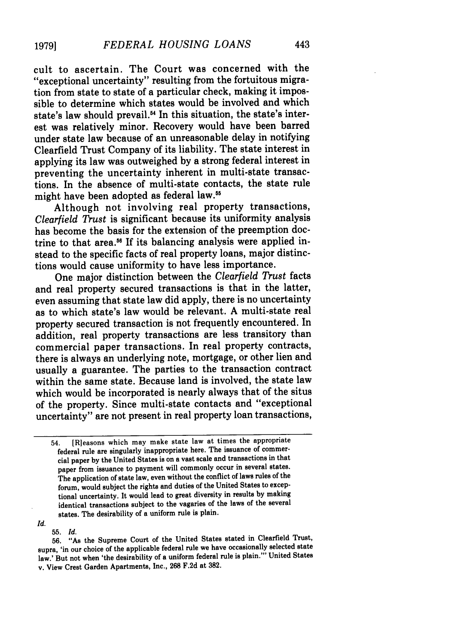cult to ascertain. The Court was concerned with the "exceptional uncertainty" resulting from the fortuitous migration from state to state of a particular check, making it impossible to determine which states would be involved and which state's law should prevail.<sup>54</sup> In this situation, the state's interest was relatively minor. Recovery would have been barred under state law because of an unreasonable delay in notifying Clearfield Trust Company of its liability. The state interest in applying its law was outweighed by a strong federal interest in preventing the uncertainty inherent in multi-state transactions. In the absence of multi-state contacts, the state rule might have been adopted as federal law.<sup>55</sup>

Although not involving real property transactions, *Clearfield Trust* is significant because its uniformity analysis has become the basis for the extension of the preemption doctrine to that area.<sup>56</sup> If its balancing analysis were applied instead to the specific facts of real property loans, major distinctions would cause uniformity to have less importance.

One major distinction between the *Clearfield Trust* facts and real property secured transactions is that in the latter, even assuming that state law did apply, there is no uncertainty as to which state's law would be relevant. A multi-state real property secured transaction is not frequently encountered. In addition, real property transactions are less transitory than commercial paper transactions. In real property contracts, there is always an underlying note, mortgage, or other lien and usually a guarantee. The parties to the transaction contract within the same state. Because land is involved, the state law which would be incorporated is nearly always that of the situs of the property. Since multi-state contacts and "exceptional uncertainty" are not present in real property loan transactions,

<sup>54. [</sup>Rleasons which may make state law at times the appropriate federal rule are singularly inappropriate here. The issuance of commercial paper **by** the United States is on a vast scale and transactions in that paper from issuance to payment will commonly occur in several states. The application of state law, even without the conflict of laws rules of the forum, would subject the rights and duties of the United States to exceptional uncertainty. It would lead to great diversity in results **by** making identical transactions subject to the vagaries of the laws of the several states. The desirability of a uniform rule is plain.

*Id.*

<sup>55.</sup> *Id.* 56. **"As** the Supreme Court of the United States stated in Clearfield Trust, supra, 'in our choice of the applicable federal rule we have occasionally selected state law.' But not when 'the desirability of a uniform federal rule is plain."' United States v. View Crest Garden Apartments, Inc., **268** F.2d at 382.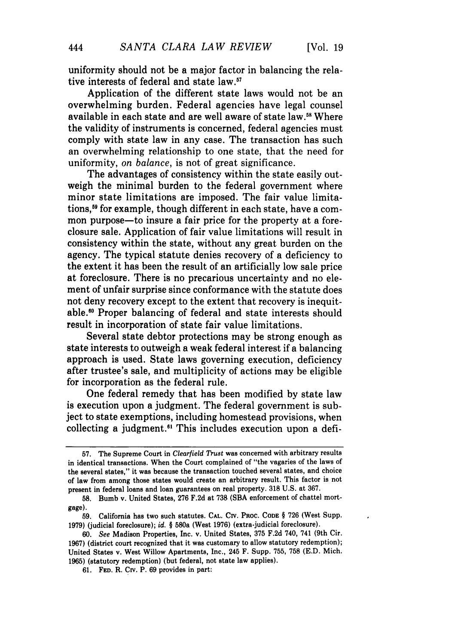uniformity should not be a major factor in balancing the relative interests of federal and state law.<sup>57</sup>

Application of the different state laws would not be an overwhelming burden. Federal agencies have legal counsel available in each state and are well aware of state law.<sup>58</sup> Where the validity of instruments is concerned, federal agencies must comply with state law in any case. The transaction has such an overwhelming relationship to one state, that the need for uniformity, *on balance,* is not of great significance.

The advantages of consistency within the state easily outweigh the minimal burden to the federal government where minor state limitations are imposed. The fair value limitations.<sup>59</sup> for example, though different in each state, have a common purpose—to insure a fair price for the property at a foreclosure sale. Application of fair value limitations will result in consistency within the state, without any great burden on the agency. The typical statute denies recovery of a deficiency to the extent it has been the result of an artificially low sale price at foreclosure. There is no precarious uncertainty and no element of unfair surprise since conformance with the statute does not deny recovery except to the extent that recovery is inequitable. 0 Proper balancing of federal and state interests should result in incorporation of state fair value limitations.

Several state debtor protections may be strong enough as state interests to outweigh a weak federal interest if a balancing approach is used. State laws governing execution, deficiency after trustee's sale, and multiplicity of actions may be eligible for incorporation as the federal rule.

One federal remedy that has been modified by state law is execution upon a judgment. The federal government is subject to state exemptions, including homestead provisions, when collecting a judgment.<sup>61</sup> This includes execution upon a defi-

**<sup>57.</sup>** The Supreme Court in *Clearfield Trust* **was** concerned with arbitrary results in identical transactions. When the Court complained of "the vagaries of the laws of the several states," it was because the transaction touched several states, and choice of law from among those states would create an arbitrary result. This factor is not present in federal loans and loan guarantees on real property. 318 U.S. at 367.

**<sup>58.</sup>** Bumb v. United States, 276 F.2d at 738 **(SBA** enforcement of chattel mortgage).

**<sup>59.</sup>** California has two such statutes. **CAL.** CIv. PROC. **CODE** § 726 (West Supp. 1979) (judicial foreclosure); *id. §* 580a (West 1976) (extra-judicial foreclosure).

*<sup>60.</sup> See* Madison Properties, Inc. v. United States, 375 F.2d 740, 741 (9th Cir. 1967) (district court recognized that it was customary to allow statutory redemption); United States v. West Willow Apartments, Inc., 245 F. Supp. 755, 758 (E.D. Mich. 1965) (statutory redemption) (but federal, not state law applies).

<sup>61.</sup> **FED.** R. Crv. P. 69 provides in part: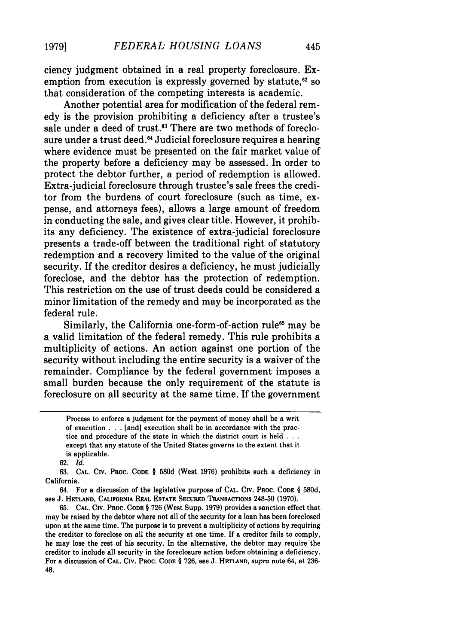ciency judgment obtained in a real property foreclosure. Exemption from execution is expressly governed by statute, $62$  so that consideration of the competing interests is academic.

Another potential area for modification of the federal remedy is the provision prohibiting a deficiency after a trustee's sale under a deed of trust.<sup>63</sup> There are two methods of foreclosure under a trust deed.<sup>64</sup> Judicial foreclosure requires a hearing where evidence must be presented on the fair market value of the property before a deficiency may be assessed. In order to protect the debtor further, a period of redemption is allowed. Extra-judicial foreclosure through trustee's sale frees the creditor from the burdens of court foreclosure (such as time, expense, and attorneys fees), allows a large amount of freedom in conducting the sale, and gives clear title. However, it prohibits any deficiency. The existence of extra-judicial foreclosure presents a trade-off between the traditional right of statutory redemption and a recovery limited to the value of the original security. If the creditor desires a deficiency, he must judicially foreclose, and the debtor has the protection of redemption. This restriction on the use of trust deeds could be considered a minor limitation of the remedy and may be incorporated as the federal rule.

Similarly, the California one-form-of-action rule<sup>65</sup> may be a valid limitation of the federal remedy. This rule prohibits a multiplicity of actions. An action against one portion of the security without including the entire security is a waiver of the remainder. Compliance by the federal government imposes a small burden because the only requirement of the statute is foreclosure on all security at the same time. If the government

Process to enforce a judgment for the payment of money shall be a writ of execution . . . [and] execution shall be in accordance with the practice and procedure of the state in which the district court is held **. . .** except that any statute of the United States governs to the extent that it is applicable.

<sup>62.</sup> *Id.*

**<sup>63.</sup> CAL.** CIV. PROC. **CODE** § 580d **(West 1976)** prohibits such a deficiency in California.

<sup>64.</sup> For a discussion of the legislative purpose **of CAL.** CIv. PROC. **CODE** § 580d, see J. **HETLAND, CALIFORNIA REAL ESTATE SECURED** TRANSACTIONS 248-50 (1970).

**<sup>65.</sup> CAL.** Ctv. **PROC. CODE** § **726 (West** Supp. **1979)** provides **a** sanction effect that may be raised by the debtor where not all of the security for a loan has been foreclosed upon at the same time. The purpose is to prevent a multiplicity of actions by requiring the creditor to foreclose on all the security at one time. **If** a creditor fails to comply, he may lose the rest of his security. In the alternative, the debtor may require the creditor to include all security in the foreclosure action before obtaining a deficiency. For a discussion **of CAL. CIv. PROC. CODE** § **726,** see J. HETLAND, supra note 64, at 236- 48.